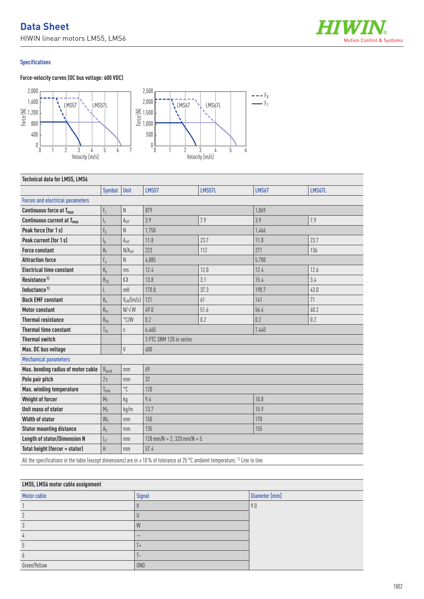# **Data Sheet** HIWIN linear motors LMS5, LMS6



### **Specifications**

### **Force-velocity curves (DC bus voltage: 600 VDC)**



| <b>Technical data for LMS5, LMS6</b>    |                         |                        |                              |        |              |        |  |
|-----------------------------------------|-------------------------|------------------------|------------------------------|--------|--------------|--------|--|
|                                         | Symbol                  | Unit                   | <b>LMS57</b>                 | LMS57L | <b>LMS67</b> | LMS67L |  |
| <b>Forces and electrical parameters</b> |                         |                        |                              |        |              |        |  |
| Continuous force at T <sub>max</sub>    | $\mathsf{F}_{\rm c}$    | N                      | 879                          |        | 1,069        |        |  |
| Continuous current at T <sub>max</sub>  | $\mathsf{I}_\mathsf{C}$ | $A_{eff}$              | 3.9                          | 7.9    | 3.9          | 7.9    |  |
| Peak force (for 1s)                     | $F_p$                   | N                      | 1,758                        |        | 1,466        |        |  |
| Peak current (for 1s)                   | I <sub>p</sub>          | $A_{eff}$              | 11.8                         | 23.7   | 11.8         | 23.7   |  |
| <b>Force constant</b>                   | $K_f$                   | N/A <sub>eff</sub>     | 223                          | 112    | 271          | 136    |  |
| <b>Attraction force</b>                 | $F_a$                   | N                      | 4,885                        |        | 5,700        |        |  |
| <b>Electrical time constant</b>         | $K_e$                   | ms                     | 12.4                         | 12.0   | 12.4         | 12.6   |  |
| Resistance <sup>1)</sup>                | $R_{25}$                | $\Omega$               | 13.8                         | 3.1    | 15.4         | 3.4    |  |
| Inductance <sup>1)</sup>                |                         | mH                     | 170.8                        | 37.3   | 190.7        | 43.0   |  |
| <b>Back EMF constant</b>                | $K_{u}$                 | $V_{\text{eff}}/(m/s)$ | 121                          | 61     | 141          | 71     |  |
| <b>Motor constant</b>                   | $K_m$                   | $N/\sqrt{W}$           | 49.0                         | 51.6   | 56.4         | 60.2   |  |
| <b>Thermal resistance</b>               | $R_{th}$                | $\degree$ C/W          | 0.2                          | 0.2    | 0.2          | 0.2    |  |
| <b>Thermal time constant</b>            | $T_{th}$                | S                      | 6,460                        |        | 7,440        |        |  |
| <b>Thermal switch</b>                   |                         |                        | 3 PTC SNM 120 in series      |        |              |        |  |
| Max. DC bus voltage                     |                         | V                      | 600                          |        |              |        |  |
| <b>Mechanical parameters</b>            |                         |                        |                              |        |              |        |  |
| Max. bending radius of motor cable      | $R_{\rm bend}$          | mm                     | 69                           |        |              |        |  |
| Pole pair pitch                         | $2\tau$                 | mm                     | 32                           |        |              |        |  |
| Max. winding temperature                | $T_{\text{max}}$        | $^{\circ}$ $\Gamma$    | 120                          |        |              |        |  |
| Weight of forcer                        | $M_F$                   | kg                     | 9.4                          |        | 10.8         |        |  |
| Unit mass of stator                     | $M_S$                   | kg/m                   | 13.7                         |        | 15.9         |        |  |
| <b>Width of stator</b>                  | $W_S$                   | mm                     | 150                          |        | 170          |        |  |
| <b>Stator mounting distance</b>         | $A_{S}$                 | mm                     | 135                          |        | 155          |        |  |
| <b>Length of stator/Dimension N</b>     | $L_{S}$                 | mm                     | $128$ mm/N = 2; 320 mm/N = 5 |        |              |        |  |
| Total height (forcer + stator)          | $\sf H$                 | mm                     | 57.4                         |        |              |        |  |

All the specifications in the table (except dimensions) are in  $\pm 10$  % of tolerance at 25 °C ambient temperature; <sup>1)</sup> Line to line

| LMS5, LMS6 motor cable assignment |           |               |  |  |  |
|-----------------------------------|-----------|---------------|--|--|--|
| Motor cable                       | Signal    | Diameter [mm] |  |  |  |
|                                   |           | 9.0           |  |  |  |
|                                   |           |               |  |  |  |
| 3                                 | W         |               |  |  |  |
| 4                                 |           |               |  |  |  |
| b                                 | $\ddot{}$ |               |  |  |  |
| $\theta$                          | -         |               |  |  |  |
| Green/Yellow                      | GND       |               |  |  |  |